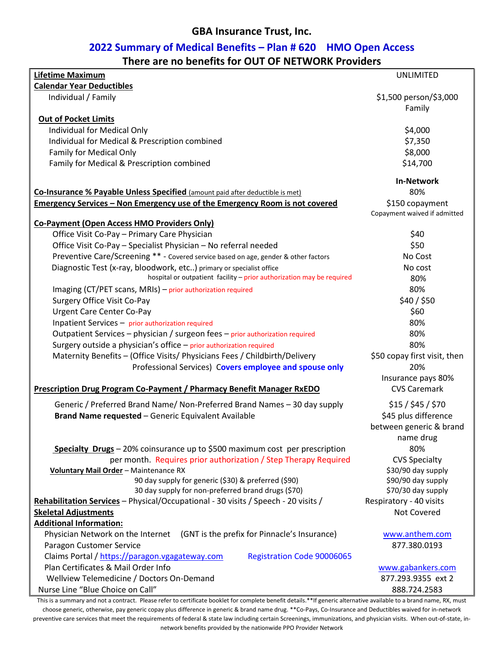# **2022 Summary of Medical Benefits – Plan # 620 HMO Open Access**

| There are no benefits for OUT OF NETWORK Providers |
|----------------------------------------------------|
|----------------------------------------------------|

| <b>Lifetime Maximum</b>                                                             | <b>UNLIMITED</b>             |
|-------------------------------------------------------------------------------------|------------------------------|
| <b>Calendar Year Deductibles</b>                                                    |                              |
| Individual / Family                                                                 | \$1,500 person/\$3,000       |
|                                                                                     | Family                       |
| <b>Out of Pocket Limits</b>                                                         |                              |
| Individual for Medical Only                                                         | \$4,000                      |
| Individual for Medical & Prescription combined                                      | \$7,350                      |
| Family for Medical Only                                                             | \$8,000                      |
| Family for Medical & Prescription combined                                          | \$14,700                     |
|                                                                                     |                              |
|                                                                                     | <b>In-Network</b>            |
| Co-Insurance % Payable Unless Specified (amount paid after deductible is met)       | 80%                          |
| <b>Emergency Services - Non Emergency use of the Emergency Room is not covered</b>  | \$150 copayment              |
|                                                                                     | Copayment waived if admitted |
| <b>Co-Payment (Open Access HMO Providers Only)</b>                                  |                              |
| Office Visit Co-Pay - Primary Care Physician                                        | \$40                         |
| Office Visit Co-Pay - Specialist Physician - No referral needed                     | \$50                         |
| Preventive Care/Screening ** - Covered service based on age, gender & other factors | No Cost                      |
| Diagnostic Test (x-ray, bloodwork, etc) primary or specialist office                | No cost                      |
| hospital or outpatient facility - prior authorization may be required               | 80%                          |
| Imaging (CT/PET scans, MRIs) - prior authorization required                         | 80%                          |
| <b>Surgery Office Visit Co-Pay</b>                                                  | \$40 / \$50                  |
| <b>Urgent Care Center Co-Pay</b>                                                    | \$60                         |
| Inpatient Services - prior authorization required                                   | 80%                          |
| Outpatient Services - physician / surgeon fees - prior authorization required       | 80%                          |
| Surgery outside a physician's office - prior authorization required                 | 80%                          |
| Maternity Benefits - (Office Visits/ Physicians Fees / Childbirth/Delivery          | \$50 copay first visit, then |
| Professional Services) Covers employee and spouse only                              | 20%                          |
|                                                                                     | Insurance pays 80%           |
| Prescription Drug Program Co-Payment / Pharmacy Benefit Manager RxEDO               | <b>CVS Caremark</b>          |
| Generic / Preferred Brand Name/ Non-Preferred Brand Names - 30 day supply           | \$15/\$45/\$70               |
| Brand Name requested - Generic Equivalent Available                                 | \$45 plus difference         |
|                                                                                     | between generic & brand      |
|                                                                                     | name drug                    |
| <b>Specialty Drugs</b> – 20% coinsurance up to \$500 maximum cost per prescription  | 80%                          |
| per month. Requires prior authorization / Step Therapy Required                     | <b>CVS Specialty</b>         |
| Voluntary Mail Order - Maintenance RX                                               | \$30/90 day supply           |
| 90 day supply for generic (\$30) & preferred (\$90)                                 | \$90/90 day supply           |
| 30 day supply for non-preferred brand drugs (\$70)                                  | \$70/30 day supply           |
| Rehabilitation Services - Physical/Occupational - 30 visits / Speech - 20 visits /  | Respiratory - 40 visits      |
| <b>Skeletal Adjustments</b>                                                         | Not Covered                  |
| <b>Additional Information:</b>                                                      |                              |
| Physician Network on the Internet<br>(GNT is the prefix for Pinnacle's Insurance)   | www.anthem.com               |
| Paragon Customer Service                                                            | 877.380.0193                 |
| Claims Portal / https://paragon.vgagateway.com<br><b>Registration Code 90006065</b> |                              |
| Plan Certificates & Mail Order Info                                                 | www.gabankers.com            |
| Wellview Telemedicine / Doctors On-Demand                                           | 877.293.9355 ext 2           |
| Nurse Line "Blue Choice on Call"                                                    | 888.724.2583                 |

This is a summary and not a contract. Please refer to certificate booklet for complete benefit details.\*\*If generic alternative available to a brand name, RX, must choose generic, otherwise, pay generic copay plus difference in generic & brand name drug. \*\*Co-Pays, Co-Insurance and Deductibles waived for in-network preventive care services that meet the requirements of federal & state law including certain Screenings, immunizations, and physician visits. When out-of-state, innetwork benefits provided by the nationwide PPO Provider Network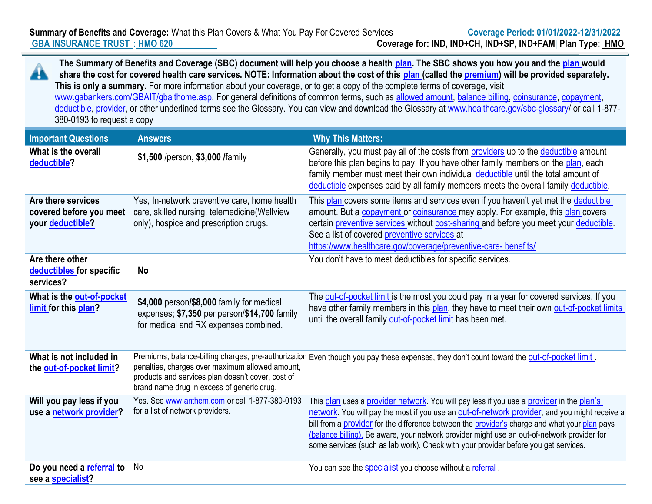**Summary of Benefits and Coverage:** What this Plan Covers & What You Pay For Covered Services **Coverage Period: 01/01/2022-12/31/2022 GBA INSURANCE TRUST : HMO 620 Coverage for: IND, IND+CH, IND+SP, IND+FAM**| **Plan Type: HMO**

**The Summary of Benefits and Coverage (SBC) document will help you choose a health plan. The SBC shows you how you and the plan would**  Aħ **share the cost for covered health care services. NOTE: Information about the cost of this plan (called the premium) will be provided separately. This is only a summary.** For more information about your coverage, or to get a copy of the complete terms of coverage, visit www.gabankers.com/GBAIT/gbaithome.asp. For general definitions of common terms, such as allowed amount, balance billing, coinsurance, copayment, deductible, provider, or other underlined terms see the Glossary. You can view and download the Glossary at www.healthcare.gov/sbc-glossary/ or call 1-877-380-0193 to request a copy

| <b>Important Questions</b>                                        | <b>Answers</b>                                                                                                                                     | <b>Why This Matters:</b>                                                                                                                                                                                                                                                                                                                                                                                                                                                         |
|-------------------------------------------------------------------|----------------------------------------------------------------------------------------------------------------------------------------------------|----------------------------------------------------------------------------------------------------------------------------------------------------------------------------------------------------------------------------------------------------------------------------------------------------------------------------------------------------------------------------------------------------------------------------------------------------------------------------------|
| What is the overall<br>deductible?                                | \$1,500 /person, \$3,000 /family                                                                                                                   | Generally, you must pay all of the costs from <b>providers</b> up to the deductible amount<br>before this plan begins to pay. If you have other family members on the plan, each<br>family member must meet their own individual deductible until the total amount of<br>deductible expenses paid by all family members meets the overall family deductible.                                                                                                                     |
| Are there services<br>covered before you meet<br>your deductible? | Yes, In-network preventive care, home health<br>care, skilled nursing, telemedicine (Wellview<br>only), hospice and prescription drugs.            | This plan covers some items and services even if you haven't yet met the deductible<br>amount. But a copayment or coinsurance may apply. For example, this plan covers<br>certain preventive services without cost-sharing and before you meet your deductible.<br>See a list of covered preventive services at<br>https://www.healthcare.gov/coverage/preventive-care- benefits/                                                                                                |
| Are there other<br>deductibles for specific<br>services?          | <b>No</b>                                                                                                                                          | You don't have to meet deductibles for specific services.                                                                                                                                                                                                                                                                                                                                                                                                                        |
| What is the out-of-pocket<br>limit for this plan?                 | \$4,000 person/\$8,000 family for medical<br>expenses; \$7,350 per person/\$14,700 family<br>for medical and RX expenses combined.                 | The <b>out-of-pocket limit</b> is the most you could pay in a year for covered services. If you<br>have other family members in this plan, they have to meet their own out-of-pocket limits<br>until the overall family out-of-pocket limit has been met.                                                                                                                                                                                                                        |
| What is not included in<br>the out-of-pocket limit?               | penalties, charges over maximum allowed amount,<br>products and services plan doesn't cover, cost of<br>brand name drug in excess of generic drug. | Premiums, balance-billing charges, pre-authorization Even though you pay these expenses, they don't count toward the <b>out-of-pocket limit</b> .                                                                                                                                                                                                                                                                                                                                |
| Will you pay less if you<br>use a network provider?               | Yes. See www.anthem.com or call 1-877-380-0193<br>for a list of network providers.                                                                 | This plan uses a provider network. You will pay less if you use a provider in the plan's<br>network. You will pay the most if you use an out-of-network provider, and you might receive a<br>bill from a provider for the difference between the provider's charge and what your plan pays<br>(balance billing). Be aware, your network provider might use an out-of-network provider for<br>some services (such as lab work). Check with your provider before you get services. |
| Do you need a referral to<br>see a specialist?                    | No                                                                                                                                                 | You can see the <b>specialist</b> you choose without a referral.                                                                                                                                                                                                                                                                                                                                                                                                                 |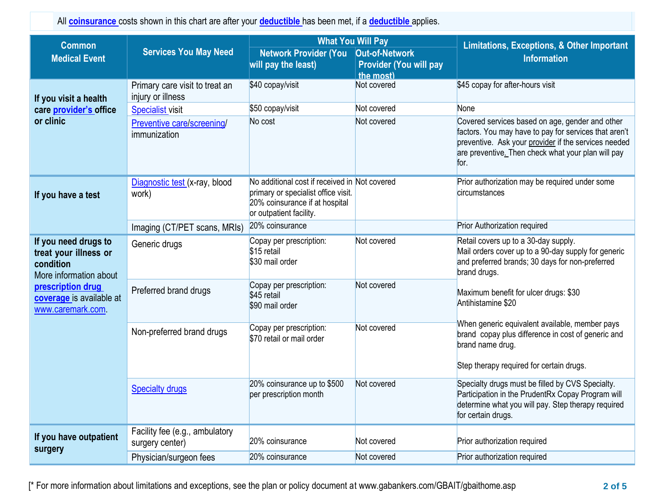All **coinsurance** costs shown in this chart are after your **deductible** has been met, if a **deductible** applies.

| <b>Common</b><br><b>Medical Event</b>                                                | <b>Services You May Need</b>                        | <b>What You Will Pay</b><br><b>Network Provider (You</b><br>will pay the least)                                                                   | Out-of-Network<br><b>Provider (You will pay</b><br>the most) | <b>Limitations, Exceptions, &amp; Other Important</b><br><b>Information</b>                                                                                                                                                    |
|--------------------------------------------------------------------------------------|-----------------------------------------------------|---------------------------------------------------------------------------------------------------------------------------------------------------|--------------------------------------------------------------|--------------------------------------------------------------------------------------------------------------------------------------------------------------------------------------------------------------------------------|
| If you visit a health                                                                | Primary care visit to treat an<br>injury or illness | \$40 copay/visit                                                                                                                                  | Not covered                                                  | \$45 copay for after-hours visit                                                                                                                                                                                               |
| care provider's office                                                               | <b>Specialist visit</b>                             | \$50 copay/visit                                                                                                                                  | Not covered                                                  | None                                                                                                                                                                                                                           |
| or clinic                                                                            | Preventive care/screening/<br>immunization          | No cost                                                                                                                                           | Not covered                                                  | Covered services based on age, gender and other<br>factors. You may have to pay for services that aren't<br>preventive. Ask your provider if the services needed<br>are preventive. Then check what your plan will pay<br>for. |
| If you have a test                                                                   | Diagnostic test (x-ray, blood<br>work)              | No additional cost if received in Not covered<br>primary or specialist office visit.<br>20% coinsurance if at hospital<br>or outpatient facility. |                                                              | Prior authorization may be required under some<br>circumstances                                                                                                                                                                |
|                                                                                      | Imaging (CT/PET scans, MRIs)                        | 20% coinsurance                                                                                                                                   |                                                              | <b>Prior Authorization required</b>                                                                                                                                                                                            |
| If you need drugs to<br>treat your illness or<br>condition<br>More information about | Generic drugs                                       | Copay per prescription:<br>\$15 retail<br>\$30 mail order                                                                                         | Not covered                                                  | Retail covers up to a 30-day supply.<br>Mail orders cover up to a 90-day supply for generic<br>and preferred brands; 30 days for non-preferred<br>brand drugs.                                                                 |
| prescription drug<br>coverage is available at<br>www.caremark.com                    | Preferred brand drugs                               | Copay per prescription:<br>\$45 retail<br>\$90 mail order                                                                                         | Not covered                                                  | Maximum benefit for ulcer drugs: \$30<br>Antihistamine \$20                                                                                                                                                                    |
|                                                                                      | Non-preferred brand drugs                           | Copay per prescription:<br>\$70 retail or mail order                                                                                              | Not covered                                                  | When generic equivalent available, member pays<br>brand copay plus difference in cost of generic and<br>brand name drug.<br>Step therapy required for certain drugs.                                                           |
|                                                                                      | <b>Specialty drugs</b>                              | 20% coinsurance up to \$500<br>per prescription month                                                                                             | Not covered                                                  | Specialty drugs must be filled by CVS Specialty.<br>Participation in the PrudentRx Copay Program will<br>determine what you will pay. Step therapy required<br>for certain drugs.                                              |
| If you have outpatient<br>surgery                                                    | Facility fee (e.g., ambulatory<br>surgery center)   | 20% coinsurance                                                                                                                                   | Not covered                                                  | Prior authorization required                                                                                                                                                                                                   |
|                                                                                      | Physician/surgeon fees                              | 20% coinsurance                                                                                                                                   | Not covered                                                  | Prior authorization required                                                                                                                                                                                                   |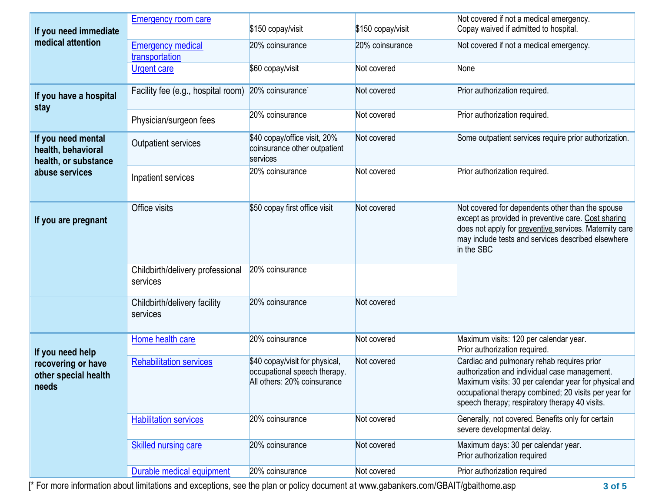| If you need immediate                                            | <b>Emergency room care</b>                   | \$150 copay/visit                                                                             | \$150 copay/visit | Not covered if not a medical emergency.<br>Copay waived if admitted to hospital.                                                                                                                                                                                |
|------------------------------------------------------------------|----------------------------------------------|-----------------------------------------------------------------------------------------------|-------------------|-----------------------------------------------------------------------------------------------------------------------------------------------------------------------------------------------------------------------------------------------------------------|
| medical attention                                                | <b>Emergency medical</b><br>transportation   | 20% coinsurance                                                                               | 20% coinsurance   | Not covered if not a medical emergency.                                                                                                                                                                                                                         |
|                                                                  | <b>Urgent care</b>                           | \$60 copay/visit                                                                              | Not covered       | None                                                                                                                                                                                                                                                            |
| If you have a hospital                                           | Facility fee (e.g., hospital room)           | 20% coinsurance`                                                                              | Not covered       | Prior authorization required.                                                                                                                                                                                                                                   |
| stay                                                             | Physician/surgeon fees                       | 20% coinsurance                                                                               | Not covered       | Prior authorization required.                                                                                                                                                                                                                                   |
| If you need mental<br>health, behavioral<br>health, or substance | <b>Outpatient services</b>                   | \$40 copay/office visit, 20%<br>coinsurance other outpatient<br>services                      | Not covered       | Some outpatient services require prior authorization.                                                                                                                                                                                                           |
| abuse services                                                   | Inpatient services                           | 20% coinsurance                                                                               | Not covered       | Prior authorization required.                                                                                                                                                                                                                                   |
| If you are pregnant                                              | Office visits                                | \$50 copay first office visit                                                                 | Not covered       | Not covered for dependents other than the spouse<br>except as provided in preventive care. Cost sharing<br>does not apply for preventive services. Maternity care<br>may include tests and services described elsewhere<br>in the SBC                           |
|                                                                  | Childbirth/delivery professional<br>services | 20% coinsurance                                                                               |                   |                                                                                                                                                                                                                                                                 |
|                                                                  | Childbirth/delivery facility<br>services     | 20% coinsurance                                                                               | Not covered       |                                                                                                                                                                                                                                                                 |
| If you need help                                                 | Home health care                             | 20% coinsurance                                                                               | Not covered       | Maximum visits: 120 per calendar year.<br>Prior authorization required.                                                                                                                                                                                         |
| recovering or have<br>other special health<br>needs              | <b>Rehabilitation services</b>               | \$40 copay/visit for physical,<br>occupational speech therapy.<br>All others: 20% coinsurance | Not covered       | Cardiac and pulmonary rehab requires prior<br>authorization and individual case management.<br>Maximum visits: 30 per calendar year for physical and<br>occupational therapy combined; 20 visits per year for<br>speech therapy; respiratory therapy 40 visits. |
|                                                                  | <b>Habilitation services</b>                 | 20% coinsurance                                                                               | Not covered       | Generally, not covered. Benefits only for certain<br>severe developmental delay.                                                                                                                                                                                |
|                                                                  | <b>Skilled nursing care</b>                  | 20% coinsurance                                                                               | Not covered       | Maximum days: 30 per calendar year.<br>Prior authorization required                                                                                                                                                                                             |
|                                                                  | Durable medical equipment                    | 20% coinsurance                                                                               | Not covered       | Prior authorization required                                                                                                                                                                                                                                    |

[\* For more information about limitations and exceptions, see the plan or policy document at www.gabankers.com/GBAIT/gbaithome.asp **3 of 5**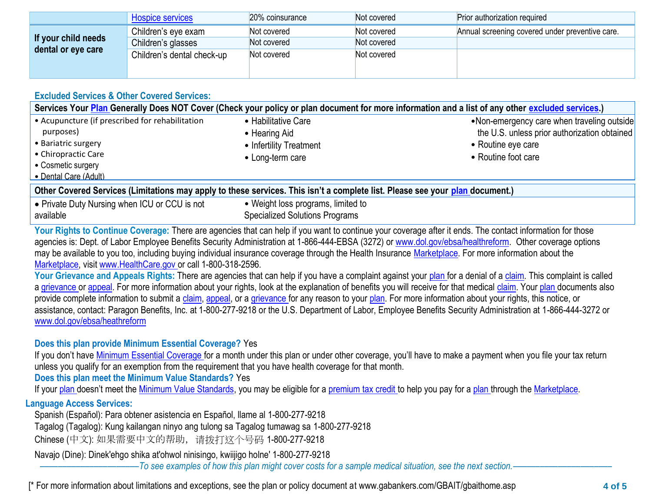|                     | <b>Hospice services</b>    | 20% coinsurance | Not covered | Prior authorization required                    |
|---------------------|----------------------------|-----------------|-------------|-------------------------------------------------|
|                     | Children's eye exam        | Not covered     | Not covered | Annual screening covered under preventive care. |
| If your child needs | Children's glasses         | Not covered     | Not covered |                                                 |
| dental or eye care  | Children's dental check-up | Not covered     | Not covered |                                                 |
|                     |                            |                 |             |                                                 |

## **Excluded Services & Other Covered Services:**

| Services Your Plan Generally Does NOT Cover (Check your policy or plan document for more information and a list of any other excluded services.) |                                          |                                                                    |  |
|--------------------------------------------------------------------------------------------------------------------------------------------------|------------------------------------------|--------------------------------------------------------------------|--|
| • Acupuncture (if prescribed for rehabilitation                                                                                                  | • Habilitative Care                      | •Non-emergency care when traveling outside                         |  |
| purposes)<br>• Bariatric surgery                                                                                                                 | • Hearing Aid<br>• Infertility Treatment | the U.S. unless prior authorization obtained<br>• Routine eye care |  |
| • Chiropractic Care                                                                                                                              | • Long-term care                         | • Routine foot care                                                |  |
| • Cosmetic surgery<br>• Dental Care (Adult)                                                                                                      |                                          |                                                                    |  |
| Other Covered Services (Limitations may apply to these services. This isn't a complete list. Please see your plan document.)                     |                                          |                                                                    |  |
| David Dubi Nimeira vilage IOI en OOI is not                                                                                                      | . Mojela Leos nxegreces limited to       |                                                                    |  |

| • Private Duty Nursing when ICU or CCU is not | • Weight loss programs, limited to    |
|-----------------------------------------------|---------------------------------------|
| l available                                   | <b>Specialized Solutions Programs</b> |

Your Rights to Continue Coverage: There are agencies that can help if you want to continue your coverage after it ends. The contact information for those agencies is: Dept. of Labor Employee Benefits Security Administration at 1-866-444-EBSA (3272) or www.dol.gov/ebsa/healthreform. Other coverage options may be available to you too, including buying individual insurance coverage through the Health Insurance Marketplace. For more information about the Marketplace, visit www.HealthCare.gov or call 1-800-318-2596.

Your Grievance and Appeals Rights: There are agencies that can help if you have a complaint against your plan for a denial of a claim. This complaint is called a grievance or appeal. For more information about your rights, look at the explanation of benefits you will receive for that medical claim. Your plan documents also provide complete information to submit a claim, appeal, or a grievance for any reason to your plan. For more information about your rights, this notice, or assistance, contact: Paragon Benefits, Inc. at 1-800-277-9218 or the U.S. Department of Labor, Employee Benefits Security Administration at 1-866-444-3272 or www.dol.gov/ebsa/heathreform

### **Does this plan provide Minimum Essential Coverage?** Yes

If you don't have Minimum Essential Coverage for a month under this plan or under other coverage, you'll have to make a payment when you file your tax return unless you qualify for an exemption from the requirement that you have health coverage for that month.

**Does this plan meet the Minimum Value Standards?** Yes

If your plan doesn't meet the Minimum Value Standards, you may be eligible for a premium tax credit to help you pay for a plan through the Marketplace.

## **Language Access Services:**

Spanish (Español): Para obtener asistencia en Español, llame al 1-800-277-9218

Tagalog (Tagalog): Kung kailangan ninyo ang tulong sa Tagalog tumawag sa 1-800-277-9218

Chinese (中文): 如果需要中文的帮助,请拨打这个号码 1-800-277-9218

Navajo (Dine): Dinek'ehgo shika at'ohwol ninisingo, kwiijigo holne' 1-800-277-9218

––––––––––––––––––––––*To see examples of how this plan might cover costs for a sample medical situation, see the next section.–––––––––––*–––––––––––

[\* For more information about limitations and exceptions, see the plan or policy document at www.gabankers.com/GBAIT/gbaithome.asp **4 of 5**